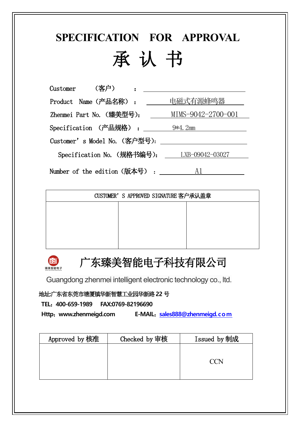# **SPECIFICATION FOR APPROVAL** 承 认 书

Customer (客户) : Product Name (产品名称): 电磁式有源蜂鸣器 Zhenmei Part No. (臻美型号): \_\_\_\_\_\_ MIMS-9042-2700-001 Specification (产品规格) : 2mm 9\*4.2mm Customer's Model No.(客户型号): Specification No. (规格书编号): LXB-09042-03027 Number of the edition  $(版$ 本号) :  $A1$ 

| CUSTOMER'S APPROVED SIGNATURE 客户承认盖章 |  |
|--------------------------------------|--|
|                                      |  |
|                                      |  |
|                                      |  |
|                                      |  |



# 广东臻美智能电子科技有限公司

Guangdong zhenmei intelligent electronic technology co., ltd.

地址**:**广东省东莞市塘厦镇华新智慧工业园华新路**22** 号

**TEL**:**400-659-1989 FAX:0769-82196690**

**Http**:**www.zhenmeigd.com E-MAIL**:**[sales888@zhenmeigd.com](mailto:sales888@zhenmeigd.com)**

| Approved by 核准 | Checked by 审核 | Issued by 制成 |
|----------------|---------------|--------------|
|                |               |              |
|                |               | 'I 'N        |
|                |               |              |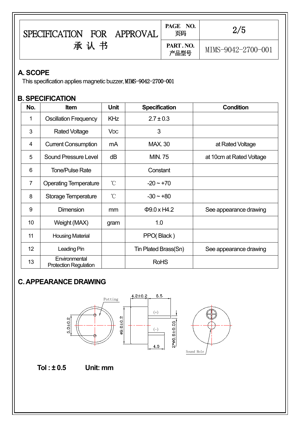| <b>FOR</b><br><b>SPECIFICATION</b><br>APPROVAL | NO.<br>PAGE<br>页码 | 2/5                |  |
|------------------------------------------------|-------------------|--------------------|--|
| 书<br>承<br>认                                    | PART. NO.<br>产品型号 | MIMS-9042-2700-001 |  |

#### **A. SCOPE**

This specification applies magnetic buzzer, MIMS-9042-2700-001

#### **B. SPECIFICATION**

| No.             | Item                                          | <b>Unit</b>           | <b>Specification</b> | <b>Condition</b>         |
|-----------------|-----------------------------------------------|-----------------------|----------------------|--------------------------|
|                 | <b>Oscillation Frequency</b>                  | <b>KHz</b>            | $2.7 \pm 0.3$        |                          |
| 3               | <b>Rated Voltage</b>                          | <b>V<sub>DC</sub></b> | 3                    |                          |
| 4               | <b>Current Consumption</b>                    | mA                    | <b>MAX. 30</b>       | at Rated Voltage         |
| 5               | <b>Sound Pressure Level</b>                   | dB                    | <b>MIN.75</b>        | at 10cm at Rated Voltage |
| 6               | <b>Tone/Pulse Rate</b>                        |                       | Constant             |                          |
| 7               | <b>Operating Temperature</b>                  | $^{\circ}$ C          | $-20 - +70$          |                          |
| 8               | <b>Storage Temperature</b>                    | $^{\circ}$ C          | $-30 - +80$          |                          |
| 9               | <b>Dimension</b>                              | mm                    | $\Phi$ 9.0 x H4.2    | See appearance drawing   |
| 10 <sup>1</sup> | Weight (MAX)                                  | gram                  | 1.0                  |                          |
| 11              | <b>Housing Material</b>                       |                       | PPO(Black)           |                          |
| 12              | Leading Pin                                   |                       | Tin Plated Brass(Sn) | See appearance drawing   |
| 13              | Environmental<br><b>Protection Regulation</b> |                       | <b>RoHS</b>          |                          |

### **C.APPEARANCE DRAWING**



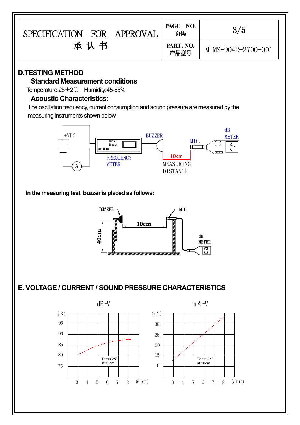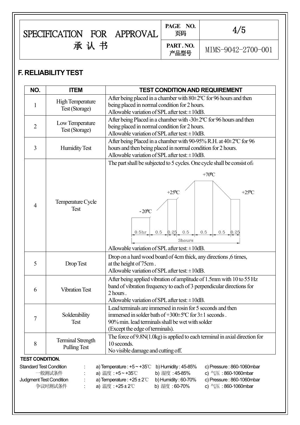| <b>FOR</b><br>APPROVAL<br><b>SPECIFICATION</b> | PAGE NO.<br>页码   | 4/5                |  |
|------------------------------------------------|------------------|--------------------|--|
| 承<br>认                                         | PART.NO.<br>产品型号 | MIMS-9042-2700-001 |  |

## **F. RELIABILITY TEST**

| NO.                                       | <b>ITEM</b><br><b>TEST CONDITION AND REQUIREMENT</b>                                                                                                                                                                                          |  |  |  |  |  |
|-------------------------------------------|-----------------------------------------------------------------------------------------------------------------------------------------------------------------------------------------------------------------------------------------------|--|--|--|--|--|
| <b>High Temperature</b><br>Test (Storage) | After being placed in a chamber with $80\pm2\degree$ C for 96 hours and then<br>being placed in normal condition for 2 hours.<br>Allowable variation of SPL after test: ±10dB.                                                                |  |  |  |  |  |
| Low Temperature<br>2<br>Test (Storage)    | After being Placed in a chamber with $-30\pm2\degree$ C for 96 hours and then<br>being placed in normal condition for 2 hours.<br>Allowable variation of SPL after test: $\pm 10$ dB.                                                         |  |  |  |  |  |
| 3<br><b>Humidity Test</b>                 | After being Placed in a chamber with 90-95% R.H. at 40±2°C for 96<br>hours and then being placed in normal condition for 2 hours.<br>Allowable variation of SPL after test: $\pm 10$ dB.                                                      |  |  |  |  |  |
| Temperature Cycle<br>4<br><b>Test</b>     | The part shall be subjected to 5 cycles. One cycle shall be consist of:<br>$+70$ <sup>o</sup> C<br>$+25$ <sup>o</sup> C<br>$+25$ <sup>o</sup> C<br>$-20^{\circ}$ C<br>0.25<br>0.5<br>0.5<br>0.5<br>0.5 <sub>hr</sub><br>0.5<br>0.25<br>3hours |  |  |  |  |  |
| 5<br>Drop Test                            | Allowable variation of SPL after test: $\pm 10$ dB.<br>Drop on a hard wood board of 4cm thick, any directions, 6 times,<br>at the height of 75cm.<br>Allowable variation of SPL after test: $\pm 10$ dB.                                      |  |  |  |  |  |
| <b>Vibration Test</b><br>6                | After being applied vibration of amplitude of 1.5mm with 10 to 55 Hz<br>band of vibration frequency to each of 3 perpendicular directions for<br>2 hours.<br>Allowable variation of SPL after test: $\pm 10$ dB.                              |  |  |  |  |  |
|                                           | Lead terminals are immersed in rosin for 5 seconds and then<br>immersed in solder bath of $+300 \pm 5$ °C for $3 \pm 1$ seconds.                                                                                                              |  |  |  |  |  |
| Solderability<br>7<br><b>Test</b>         | 90% min. lead terminals shall be wet with solder<br>(Except the edge of terminals).                                                                                                                                                           |  |  |  |  |  |

,我们也不会有什么。""我们的人,我们也不会有什么?""我们的人,我们也不会有什么?""我们的人,我们也不会有什么?""我们的人,我们也不会有什么?""我们的人